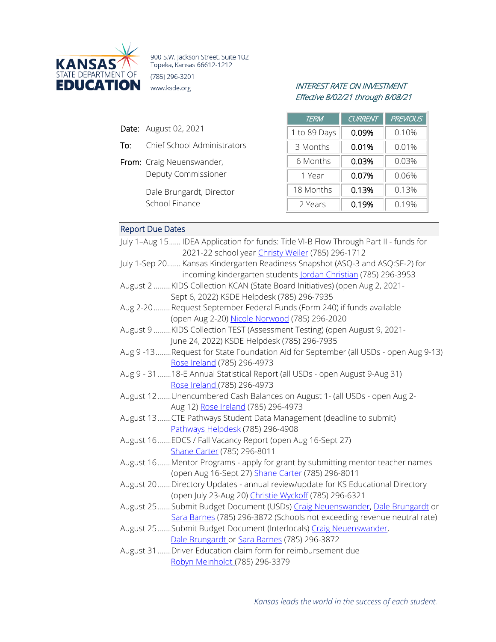

900 S.W. Jackson Street, Suite 102 Topeka, Kansas 66612-1212 (785) 296-3201

# INTEREST RATE ON INVESTMENT Effective 8/02/21 through 8/08/21

| <b>Date:</b> August 02, 2021 |  |
|------------------------------|--|
|                              |  |

- To: Chief School Administrators
- From: Craig Neuenswander, Deputy Commissioner

Dale Brungardt, Director School Finance

| <b>TERM</b>  | <b>CURRENT</b> | <b>PREVIOUS</b> |
|--------------|----------------|-----------------|
| 1 to 89 Days | 0.09%          | 0.10%           |
| 3 Months     | 0.01%          | 0.01%           |
| 6 Months     | 0.03%          | 0.03%           |
| 1 Year       | 0.07%          | 0.06%           |
| 18 Months    | 0.13%          | 0.13%           |
| 2 Years      | 0.19%          | 0.19%           |

# Report Due Dates

| July 1-Aug 15 IDEA Application for funds: Title VI-B Flow Through Part II - funds for |
|---------------------------------------------------------------------------------------|
| 2021-22 school year Christy Weiler (785) 296-1712                                     |
| July 1-Sep 20 Kansas Kindergarten Readiness Snapshot (ASQ-3 and ASQ:SE-2) for         |
| incoming kindergarten students Jordan Christian (785) 296-3953                        |
| August 2 KIDS Collection KCAN (State Board Initiatives) (open Aug 2, 2021-            |
| Sept 6, 2022) KSDE Helpdesk (785) 296-7935                                            |
| Aug 2-20 Request September Federal Funds (Form 240) if funds available                |
| (open Aug 2-20) Nicole Norwood (785) 296-2020                                         |
| August 9 KIDS Collection TEST (Assessment Testing) (open August 9, 2021-              |
| June 24, 2022) KSDE Helpdesk (785) 296-7935                                           |
| Aug 9-13Request for State Foundation Aid for September (all USDs - open Aug 9-13)     |
| Rose Ireland (785) 296-4973                                                           |
| Aug 9 - 31  18-E Annual Statistical Report (all USDs - open August 9-Aug 31)          |
| Rose Ireland (785) 296-4973                                                           |
| August 12  Unencumbered Cash Balances on August 1- (all USDs - open Aug 2-            |
| Aug 12) Rose Ireland (785) 296-4973                                                   |
| August 13CTE Pathways Student Data Management (deadline to submit)                    |
| Pathways Helpdesk (785) 296-4908                                                      |
| August 16  EDCS / Fall Vacancy Report (open Aug 16-Sept 27)                           |
| Shane Carter (785) 296-8011                                                           |
| August 16Mentor Programs - apply for grant by submitting mentor teacher names         |
| (open Aug 16-Sept 27) Shane Carter (785) 296-8011                                     |
| August 20  Directory Updates - annual review/update for KS Educational Directory      |
| (open July 23-Aug 20) Christie Wyckoff (785) 296-6321                                 |
| August 25 Submit Budget Document (USDs) Craig Neuenswander, Dale Brungardt or         |
| Sara Barnes (785) 296-3872 (Schools not exceeding revenue neutral rate)               |
| August 25 Submit Budget Document (Interlocals) Craig Neuenswander,                    |
| Dale Brungardt or Sara Barnes (785) 296-3872                                          |
| August 31 Driver Education claim form for reimbursement due                           |
| Robyn Meinholdt (785) 296-3379                                                        |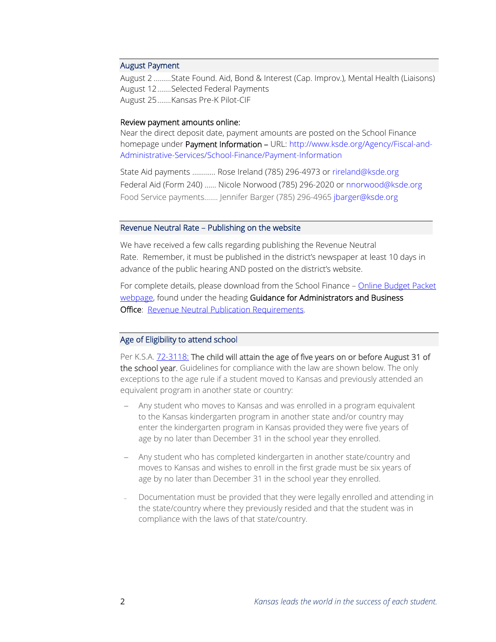#### August Payment

August 2 .........State Found. Aid, Bond & Interest (Cap. Improv.), Mental Health (Liaisons) August 12.......Selected Federal Payments August 25.......Kansas Pre-K Pilot-CIF

#### Review payment amounts online:

Near the direct deposit date, payment amounts are posted on the School Finance homepage under Payment Information - URL: [http://www.ksde.org/Agency/Fiscal-and-](http://www.ksde.org/Agency/Fiscal-and-Administrative-Services/School-Finance/Payment-Information)[Administrative-Services/School-Finance/Payment-Information](http://www.ksde.org/Agency/Fiscal-and-Administrative-Services/School-Finance/Payment-Information)

State Aid payments ………… Rose Ireland (785) 296-4973 or [rireland@ksde.org](mailto:rireland@ksde.org)  Federal Aid (Form 240) …… Nicole Norwood (785) 296-2020 or [nnorwood@ksde.org](mailto:nnorwood@ksde.org) Food Service payments……. Jennifer Barger (785) 296-4965 [jbarger@ksde.org](mailto:jbarger@ksde.org)

### Revenue Neutral Rate – Publishing on the website

We have received a few calls regarding publishing the Revenue Neutral Rate. Remember, it must be published in the district's newspaper at least 10 days in advance of the public hearing AND posted on the district's website.

For complete details, please download from the School Finance – [Online Budget Packet](https://www.ksde.org/Agency/Fiscal-and-Administrative-Services/School-Finance/Online-Budget-Packet)  [webpage,](https://www.ksde.org/Agency/Fiscal-and-Administrative-Services/School-Finance/Online-Budget-Packet) found under the heading Guidance for Administrators and Business **Office:** [Revenue Neutral Publication Requirements.](https://www.ksde.org/LinkClick.aspx?fileticket=dSXkgAs5_wM%3d&tabid=403&portalid=0&mid=977)

#### Age of Eligibility to attend school

Per K.S.A. [72-3118:](http://ksrevisor.org/statutes/chapters/ch72/072_031_0018.html) The child will attain the age of five years on or before August 31 of the school year. Guidelines for compliance with the law are shown below. The only exceptions to the age rule if a student moved to Kansas and previously attended an equivalent program in another state or country:

- Any student who moves to Kansas and was enrolled in a program equivalent to the Kansas kindergarten program in another state and/or country may enter the kindergarten program in Kansas provided they were five years of age by no later than December 31 in the school year they enrolled.
- − Any student who has completed kindergarten in another state/country and moves to Kansas and wishes to enroll in the first grade must be six years of age by no later than December 31 in the school year they enrolled.
- Documentation must be provided that they were legally enrolled and attending in the state/country where they previously resided and that the student was in compliance with the laws of that state/country.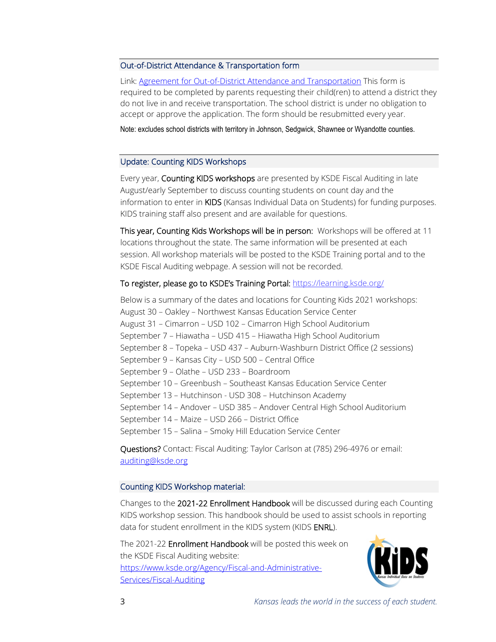### Out-of-District Attendance & Transportation form

Link[: Agreement for Out-of-District Attendance and Transportation](https://www.ksde.org/Agency/Fiscal-and-Administrative-Services/School-Finance/School-Bus-Safety/School-Bus-Safety-Forms) This form is required to be completed by parents requesting their child(ren) to attend a district they do not live in and receive transportation. The school district is under no obligation to accept or approve the application. The form should be resubmitted every year.

Note: excludes school districts with territory in Johnson, Sedgwick, Shawnee or Wyandotte counties.

### Update: Counting KIDS Workshops

Every year, Counting KIDS workshops are presented by KSDE Fiscal Auditing in late August/early September to discuss counting students on count day and the information to enter in KIDS (Kansas Individual Data on Students) for funding purposes. KIDS training staff also present and are available for questions.

This year, Counting Kids Workshops will be in person: Workshops will be offered at 11 locations throughout the state. The same information will be presented at each session. All workshop materials will be posted to the KSDE Training portal and to the KSDE Fiscal Auditing webpage. A session will not be recorded.

# To register, please go to KSDE's Training Portal: <https://learning.ksde.org/>

Below is a summary of the dates and locations for Counting Kids 2021 workshops: August 30 – Oakley – Northwest Kansas Education Service Center August 31 – Cimarron – USD 102 – Cimarron High School Auditorium September 7 – Hiawatha – USD 415 – Hiawatha High School Auditorium September 8 – Topeka – USD 437 – Auburn-Washburn District Office (2 sessions) September 9 – Kansas City – USD 500 – Central Office September 9 – Olathe – USD 233 – Boardroom September 10 – Greenbush – Southeast Kansas Education Service Center September 13 – Hutchinson - USD 308 – Hutchinson Academy September 14 – Andover – USD 385 – Andover Central High School Auditorium September 14 – Maize – USD 266 – District Office September 15 – Salina – Smoky Hill Education Service Center

Questions? Contact: Fiscal Auditing: Taylor Carlson at (785) 296-4976 or email: [auditing@ksde.org](mailto:auditing@ksde.org)

# Counting KIDS Workshop material:

Changes to the 2021-22 Enrollment Handbook will be discussed during each Counting KIDS workshop session. This handbook should be used to assist schools in reporting data for student enrollment in the KIDS system (KIDS ENRL).

The 2021-22 Enrollment Handbook will be posted this week on the KSDE Fiscal Auditing website: [https://www.ksde.org/Agency/Fiscal-and-Administrative-](https://www.ksde.org/Agency/Fiscal-and-Administrative-Services/Fiscal-Auditing)[Services/Fiscal-Auditing](https://www.ksde.org/Agency/Fiscal-and-Administrative-Services/Fiscal-Auditing)